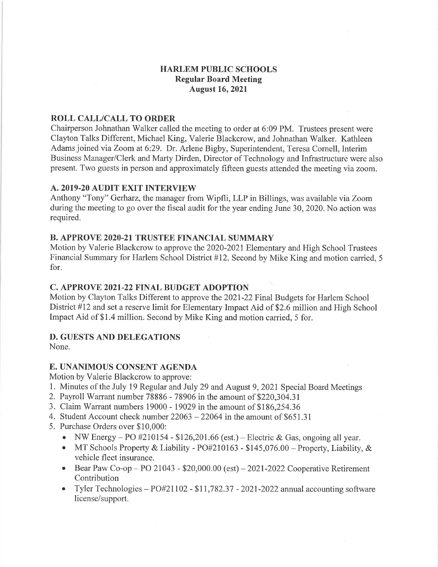### HARLEM PUBLIC SCHOOLS Regular Board Meeting August 16,2021

### ROLL CALL/CALL TO ORDER

Chairperson Johnathan Walker called the meeting to order at 6:09 PM. Trustees present were Clayton Talks Different, Michael King, Valerie Blackcrow, and Johnathan Walker. Kathleen Adams joined via Zoom at 6:29. Dr. Arlene Bigby, Superintendent, Teresa Cornell, Interim Business Manager/Clerk and Marty Dirden, Director of Technology and Infrastructure were also present. Two guests in person and approximately fifteen guests attended the meeting via zoom.

#### A.2OI9-20 AUDIT EXIT INTERVIEW

Anthony "Tony" Gerharz, the manager from Wipfli, LLP in Billings, was available via Zoom during the meeting to go over the fiscal audit for the year ending June 30, 2020. No action was required.

#### B. APPROYE 2020.21 TRUSTEE FINANCIAL SUMMARY

Motion by Valerie Blackcrow to approve the 2020-2021 Elementary and High School Trustees Financial Summary for Harlem School District #12. Second by Mike King and motion carried, <sup>5</sup> for.

#### C. APPROYE 202I.22 FINAL BUDGET ADOPTION

Motion by Clayton Talks Different to approve the 2021-22 Final Budgets for Harlem School District #12 and set a reserve limit for Elementary Impact Aid of \$2.6 million and High School Impact Aid of \$1.4 million. Second by Mike King and motion carried, 5 for.

## D. GUESTS AND DELEGATIONS

None.

# E. UNANIMOUS CONSENT AGENDA

Motion by Valerie Blackcrow to approve:

- 1. Minutes of the July 19 Regular and July 29 and August 9,202I Special Board Meetings
- 2. Payroll Warrant number 78886 78906 in the amount of 8220,304.3I
- 3. Claim Warrant numbers 19000 19029 in the amount of \$186,254.36
- 4. Student Account check number  $22063 22064$  in the amount of \$651.31
- 5. Purchase Orders over \$10,000:
	- NW Energy PO #210154 \$126,201.66 (est.) Electric & Gas, ongoing all year.<br>• MT Schools Property & Liability PO#210163 \$145.076.00 Property Liability
	- MT Schools Property & Liability  $P\text{O#210163 $145,076.00 Property$ , Liability, & vehicle fleet insurance.
	- Bear Paw Co-op PO 21043  $$20,000.00$  (est) 2021-2022 Cooperative Retirement Contribution
	- Tyler Technologies  $PO#21102 $11,782.37 2021 2022$  annual accounting software license/support.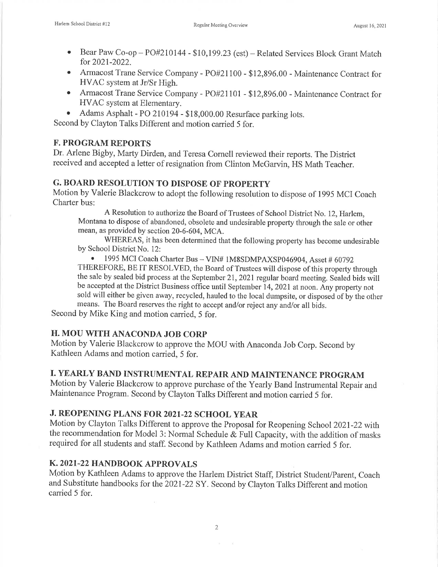- Bear Paw Co-op PO#210144 \$10,199.23 (est) Related Services Block Grant Match for 2021-2022.
- Armacost Trane Service Company PO#21100 \$12,896.00 Maintenance Contract for HVAC system at Jr/Sr High.
- o Armacost Trane Service Company -PO#21101 \$12,896.00 Maintenance Contract for HVAC system at Elementary.
- o Adams Asphalt Po 210194 \$18,000.00 Resurface parking lots.

Second by Clayton Talks Different and motion carried 5 for.

### **F. PROGRAM REPORTS**

Dr. Arlene Bigby, Marty Dirden, and Teresa Cornell reviewed their reports. The District received and accepted a letter of resignation from Clinton McGarvin, HS Math Teacher.

### G. BOARD RESOLUTION TO DISPOSE OF PROPERTY

Motion by Valerie Blackcrow to adopt the following resolution to dispose of 1995 MCI Coach Charter bus:

A Resolution to authorize the Board of Trustees of School District No. 12, Harlem, Montana to dispose of abandoned, obsolete and undesirable property through the sale or other mean, as provided by section 20-6-604, MCA.

WHEREAS, it has been determined that the following property has become undesirable by School District No. 12:

• 1995 MCI Coach Charter Bus - VIN# 1M8SDMPAXSP046904, Asset # 60792 THEREFORE, BE IT RESOLVED, the Board of Trustees will dispose of this property through the sale by sealed bid process at the September 21,2021 regular board meeting. Sealed bids will be accepted at the District Business office until September 14,202I at noon. Any properfy not sold will either be given away, recycled, hauled to the local dumpsite, or disposed of by the other means. The Board reserves the right to accept and/or reject any and/or all bids.

Second by Mike King and motion carried, 5 for.

#### H. MOU WITH ANACONDA JOB CORP

Motion by Valerie Blackcrow to approve the MOU with Anaconda Job Corp. Second by Kathleen Adams and motion carried, 5 for.

## I. YEARLY BAND INSTRUMENTAL REPAIR AND MAINTENANCE PROGRAM

Motion by Valerie Blackcrow to approve purchase of the Yearly Band Instrumental Repair and Maintenance Program. Second by Clayton Talks Different and motion carried 5 for.

# J. REOPENING PLANS FOR 2021.22 SCHOOL YEAR

Motion by Clayton Talks Different to approve the Proposal for Reopening School 2021-22 with the recommendation for Model 3: Normal Schedule & Futl Capacity, with the addition of masks required for all students and staff. Second by Kathleen Adams and motion carried 5 for.

#### K. 2O2I-22 HANDBOOK APPROVALS

Motion by Kathleen Adams to approve the Harlem District Staff, District Student/Parent, Coach and Substitute handbooks for the 2021-22 SY. Second by Clayton Talks Different and motion carried 5 for.

2

 $\alpha = -\alpha$